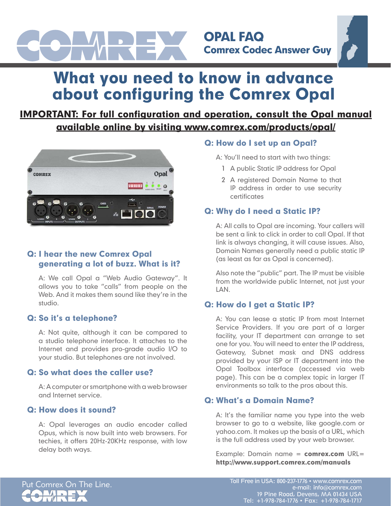

OPAL FAQ Comrex Codec Answer Guy

# What you need to know in advance about configuring the Comrex Opal

## IMPORTANT: For full configuration and operation, consult the Opal manual available online by visiting www.comrex.com/products/opal/



## Q: I hear the new Comrex Opal generating a lot of buzz. What is it?

A: We call Opal a "Web Audio Gateway". It allows you to take "calls" from people on the Web. And it makes them sound like they're in the studio.

## Q: So it's a telephone?

A: Not quite, although it can be compared to a studio telephone interface. It attaches to the Internet and provides pro-grade audio I/O to your studio. But telephones are not involved.

## Q: So what does the caller use?

A: A computer or smartphone with a web browser and Internet service.

## Q: How does it sound?

A: Opal leverages an audio encoder called Opus, which is now built into web browsers. For techies, it offers 20Hz-20KHz response, with low delay both ways.

## Q: How do I set up an Opal?

A: You'll need to start with two things:

- 1 A public Static IP address for Opal
- 2 A registered Domain Name to that IP address in order to use security certificates

## Q: Why do I need a Static IP?

A: All calls to Opal are incoming. Your callers will be sent a link to click in order to call Opal. If that link is always changing, it will cause issues. Also, Domain Names generally need a public static IP (as least as far as Opal is concerned).

Also note the "public" part. The IP must be visible from the worldwide public Internet, not just your LAN.

## Q: How do I get a Static IP?

A: You can lease a static IP from most Internet Service Providers. If you are part of a larger facility, your IT department can arrange to set one for you. You will need to enter the IP address, Gateway, Subnet mask and DNS address provided by your ISP or IT department into the Opal Toolbox interface (accessed via web page). This can be a complex topic in larger IT environments so talk to the pros about this.

## Q: What's a Domain Name?

A: It's the familiar name you type into the web browser to go to a website, like google.com or yahoo.com. It makes up the basis of a URL, which is the full address used by your web browser.

Example: Domain name =  $commex.com$  URL= http://www.support.comrex.com/manuals